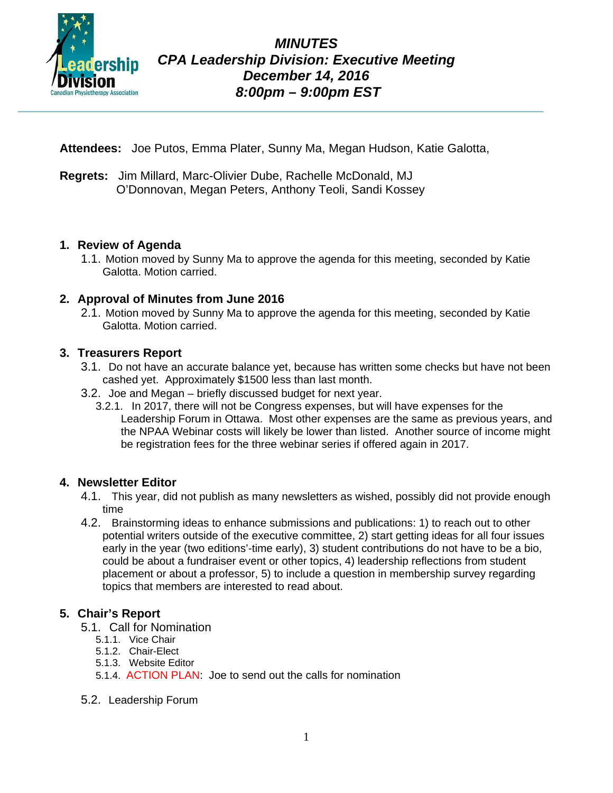

**Attendees:** Joe Putos, Emma Plater, Sunny Ma, Megan Hudson, Katie Galotta,

**Regrets:** Jim Millard, Marc-Olivier Dube, Rachelle McDonald, MJ O'Donnovan, Megan Peters, Anthony Teoli, Sandi Kossey

#### **1. Review of Agenda**

1.1. Motion moved by Sunny Ma to approve the agenda for this meeting, seconded by Katie Galotta. Motion carried.

# **2. Approval of Minutes from June 2016**

2.1. Motion moved by Sunny Ma to approve the agenda for this meeting, seconded by Katie Galotta. Motion carried.

# **3. Treasurers Report**

- 3.1. Do not have an accurate balance yet, because has written some checks but have not been cashed yet. Approximately \$1500 less than last month.
- 3.2. Joe and Megan briefly discussed budget for next year.
	- 3.2.1. In 2017, there will not be Congress expenses, but will have expenses for the Leadership Forum in Ottawa. Most other expenses are the same as previous years, and the NPAA Webinar costs will likely be lower than listed. Another source of income might be registration fees for the three webinar series if offered again in 2017.

#### **4. Newsletter Editor**

- 4.1. This year, did not publish as many newsletters as wished, possibly did not provide enough time
- 4.2. Brainstorming ideas to enhance submissions and publications: 1) to reach out to other potential writers outside of the executive committee, 2) start getting ideas for all four issues early in the year (two editions'-time early), 3) student contributions do not have to be a bio, could be about a fundraiser event or other topics, 4) leadership reflections from student placement or about a professor, 5) to include a question in membership survey regarding topics that members are interested to read about.

#### **5. Chair's Report**

- 5.1. Call for Nomination
	- 5.1.1. Vice Chair
	- 5.1.2. Chair-Elect
	- 5.1.3. Website Editor
	- 5.1.4. ACTION PLAN: Joe to send out the calls for nomination
- 5.2. Leadership Forum